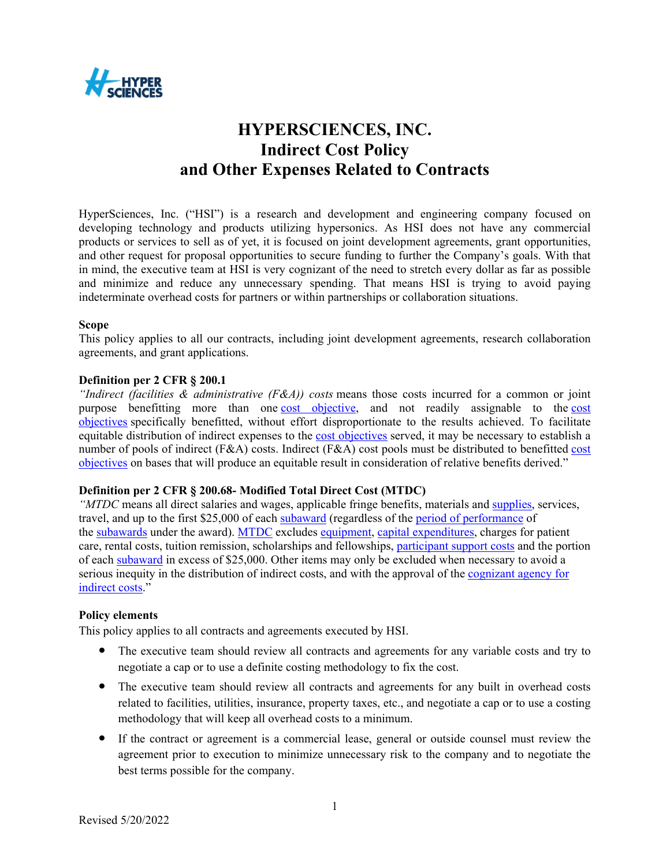

# **HYPERSCIENCES, INC. Indirect Cost Policy and Other Expenses Related to Contracts**

HyperSciences, Inc. ("HSI") is a research and development and engineering company focused on developing technology and products utilizing hypersonics. As HSI does not have any commercial products or services to sell as of yet, it is focused on joint development agreements, grant opportunities, and other request for proposal opportunities to secure funding to further the Company's goals. With that in mind, the executive team at HSI is very cognizant of the need to stretch every dollar as far as possible and minimize and reduce any unnecessary spending. That means HSI is trying to avoid paying indeterminate overhead costs for partners or within partnerships or collaboration situations.

## **Scope**

This policy applies to all our contracts, including joint development agreements, research collaboration agreements, and grant applications.

#### **Definition per 2 CFR § 200.1**

*"Indirect (facilities & administrative (F&A)) costs* means those costs incurred for a common or joint purpose benefitting more than one cost objective, and not readily assignable to the cost objectives specifically benefitted, without effort disproportionate to the results achieved. To facilitate equitable distribution of indirect expenses to the cost objectives served, it may be necessary to establish a number of pools of indirect (F&A) costs. Indirect (F&A) cost pools must be distributed to benefitted cost objectives on bases that will produce an equitable result in consideration of relative benefits derived."

## **Definition per 2 CFR § 200.68- Modified Total Direct Cost (MTDC)**

*"MTDC* means all direct salaries and wages, applicable fringe benefits, materials and supplies, services, travel, and up to the first \$25,000 of each subaward (regardless of the period of performance of the subawards under the award). MTDC excludes equipment, capital expenditures, charges for patient care, rental costs, tuition remission, scholarships and fellowships, participant support costs and the portion of each subaward in excess of \$25,000. Other items may only be excluded when necessary to avoid a serious inequity in the distribution of indirect costs, and with the approval of the cognizant agency for indirect costs."

#### **Policy elements**

This policy applies to all contracts and agreements executed by HSI.

- The executive team should review all contracts and agreements for any variable costs and try to negotiate a cap or to use a definite costing methodology to fix the cost.
- The executive team should review all contracts and agreements for any built in overhead costs related to facilities, utilities, insurance, property taxes, etc., and negotiate a cap or to use a costing methodology that will keep all overhead costs to a minimum.
- If the contract or agreement is a commercial lease, general or outside counsel must review the agreement prior to execution to minimize unnecessary risk to the company and to negotiate the best terms possible for the company.